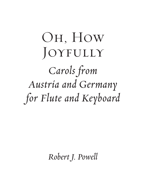# Oh, How Joyfully *Carols from Austria and Germany for Flute and Keyboard*

*Robert J. Powell*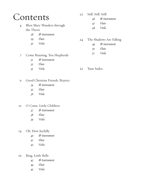# Contents

- 4 Blest Mary Wanders through the Thorn
	- *B*b  *Instrument*
	- *Flute*
	- *Viola*

#### 7 Come Running, You Shepherds

- *B*b  *Instrument*
- *Flute*
- *Viola*

#### 22 Still, Still, Still

- *B*b  *Instrument*
- *Flute*
- *Viola*
- 24 The Shadows Are Falling
	- *B*b  *Instrument*
	- *Flute*
	- *Viola*
- 52 Tune Index
- 9 Good Christian Friends, Rejoice
	- *B*b  *Instrument*
	- *Flute*
	- *Viola*

#### 12 O Come, Little Children

- *B*b  *Instrument*
- *Flute*
- *Viola*
- 14 Oh, How Joyfully
	- *B*b  *Instrument*
	- *Flute*
	- *Viola*

#### 19 Ring, Little Bells

- *B*b  *Instrument*
- *Flute*
- *Viola*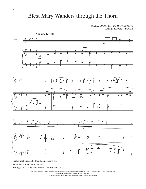#### Blest Mary Wanders through the Thorn

Maria durch ein Dornwald ging setting, Robert J. Powell



Part extractions can be found on pages 28–30.

Tune: Traditional German carol

Setting © 2020 Augsburg Fortress. All rights reserved.

*Oh, How Joyfully: Carols from Austria and Germany for Flute and Keyboard*, by Robert J. Powell, ISBN 978-1-5064-6611-8 Published by Augsburg Fortress. Printed in U.S.A. Duplication in any form prohibited without publisher's written permission.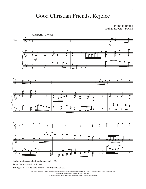## Good Christian Friends, Rejoice

In dulci jubilo setting, Robert J. Powell



Tune: German carol, 14th cent.

Setting © 2020 Augsburg Fortress. All rights reserved.

*Oh, How Joyfully: Carols from Austria and Germany for Flute and Keyboard*, by Robert J. Powell, ISBN 978-1-5064-6611-8 Published by Augsburg Fortress. Printed in U.S.A. Duplication in any form prohibited without publisher's written permission.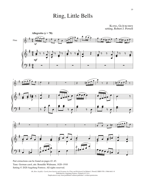## Ring, Little Bells

Kling, Glöckchen setting, Robert J. Powell



Part extractions can be found on pages 43–45.

Tune: German carol, attr. Benedikt Widmann, 1820–1910

Setting © 2020 Augsburg Fortress. All rights reserved.

*Oh, How Joyfully: Carols from Austria and Germany for Flute and Keyboard*, by Robert J. Powell, ISBN 978-1-5064-6611-8 Published by Augsburg Fortress. Printed in U.S.A. Duplication in any form prohibited without publisher's written permission.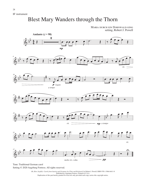28

#### Blest Mary Wanders through the Thorn

Maria durch ein Dornwald ging setting, Robert J. Powell



Tune: Traditional German carol Setting © 2020 Augsburg Fortress. All rights reserved.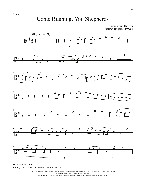## Come Running, You Shepherds

O laufet, ihr Hirten setting, Robert J. Powell



Tune: Silesian carol Setting © 2020 Augsburg Fortress. All rights reserved.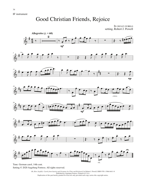#### Good Christian Friends, Rejoice

In dulci jubilo setting, Robert J. Powell

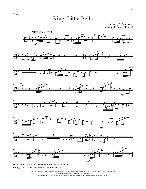# Ring, Little Bells

Kling, Glöckchen setting, Robert J. Powell



Tune: German carol, attr. Benedikt Widmann, 1820–1910 Setting © 2020 Augsburg Fortress. All rights reserved.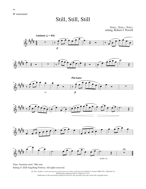#### Still, Still, Still

STILL, STILL, STILL setting, Robert J. Powell













Tune: Austrian carol, 19th cent. Setting © 2020 Augsburg Fortress. All rights reserved.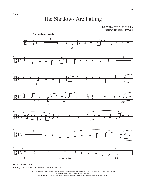## The Shadows Are Falling

Es wird scho glei dumpa setting, Robert J. Powell



Tune: Austrian carol Setting © 2020 Augsburg Fortress. All rights reserved.